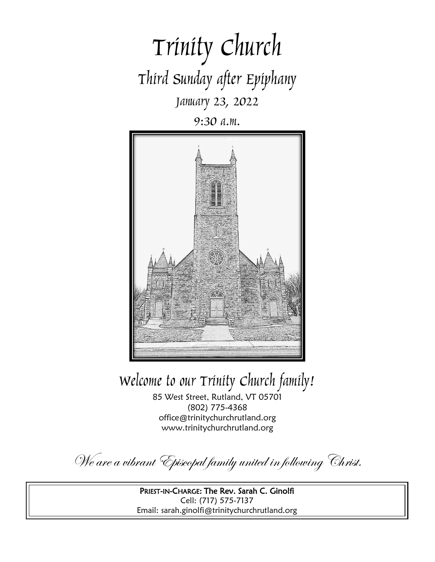

9:30 a.m.



Welcome to our Trinity Church family!

85 West Street, Rutland, VT 05701 (802) 775-4368 office@trinitychurchrutland.org www.trinitychurchrutland.org

We are a vibrant Episcopal family united in following Christ.

PRIEST-IN-CHARGE: The Rev. Sarah C. Ginolfi Cell: (717) 575-7137 Email: sarah.ginolfi@trinitychurchrutland.org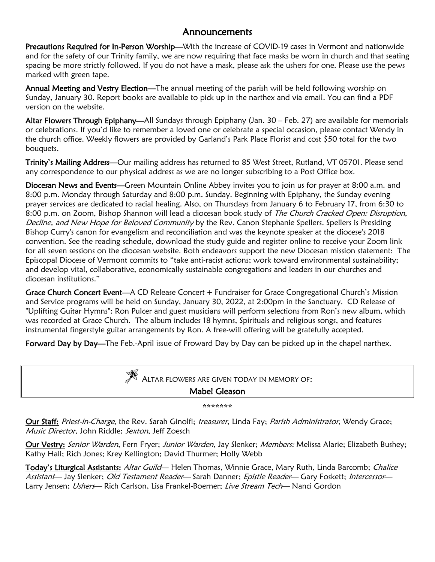# Announcements

Precautions Required for In-Person Worship—With the increase of COVID-19 cases in Vermont and nationwide and for the safety of our Trinity family, we are now requiring that face masks be worn in church and that seating spacing be more strictly followed. If you do not have a mask, please ask the ushers for one. Please use the pews marked with green tape.

Annual Meeting and Vestry Election—The annual meeting of the parish will be held following worship on Sunday, January 30. Report books are available to pick up in the narthex and via email. You can find a PDF version on the website.

Altar Flowers Through Epiphany—All Sundays through Epiphany (Jan. 30 – Feb. 27) are available for memorials or celebrations. If you'd like to remember a loved one or celebrate a special occasion, please contact Wendy in the church office. Weekly flowers are provided by Garland's Park Place Florist and cost \$50 total for the two bouquets.

Trinity's Mailing Address—Our mailing address has returned to 85 West Street, Rutland, VT 05701. Please send any correspondence to our physical address as we are no longer subscribing to a Post Office box.

Diocesan News and Events—Green Mountain Online Abbey invites you to join us for prayer at 8:00 a.m. and 8:00 p.m. Monday through Saturday and 8:00 p.m. Sunday. Beginning with Epiphany, the Sunday evening prayer services are dedicated to racial healing. Also, on Thursdays from January 6 to February 17, from 6:30 to 8:00 p.m. on Zoom, Bishop Shannon will lead a diocesan book study of The Church Cracked Open: Disruption, Decline, and New Hope for Beloved Community by the Rev. Canon Stephanie Spellers. Spellers is Presiding Bishop Curry's canon for evangelism and reconciliation and was the keynote speaker at the diocese's 2018 convention. See the reading schedule, download the study guide and register online to receive your Zoom link for all seven sessions on the diocesan website. Both endeavors support the new Diocesan mission statement: The Episcopal Diocese of Vermont commits to "take anti-racist actions; work toward environmental sustainability; and develop vital, collaborative, economically sustainable congregations and leaders in our churches and diocesan institutions."

Grace Church Concert Event-A CD Release Concert + Fundraiser for Grace Congregational Church's Mission and Service programs will be held on Sunday, January 30, 2022, at 2:00pm in the Sanctuary. CD Release of "Uplifting Guitar Hymns": Ron Pulcer and guest musicians will perform selections from Ron's new album, which was recorded at Grace Church. The album includes 18 hymns, Spirituals and religious songs, and features instrumental fingerstyle guitar arrangements by Ron. A free-will offering will be gratefully accepted.

Forward Day by Day—The Feb.-April issue of Froward Day by Day can be picked up in the chapel narthex.



\*\*\*\*\*\*\*

Our Staff: Priest-in-Charge, the Rev. Sarah Ginolfi; treasurer, Linda Fay; Parish Administrator, Wendy Grace; Music Director, John Riddle: Sexton, Jeff Zoesch

Our Vestry: Senior Warden, Fern Fryer; Junior Warden, Jay Slenker; Members: Melissa Alarie; Elizabeth Bushey; Kathy Hall; Rich Jones; Krey Kellington; David Thurmer; Holly Webb

Today's Liturgical Assistants: Altar Guild— Helen Thomas, Winnie Grace, Mary Ruth, Linda Barcomb; Chalice Assistant— Jay Slenker; Old Testament Reader— Sarah Danner; Epistle Reader— Gary Foskett; Intercessor— Larry Jensen; Ushers— Rich Carlson, Lisa Frankel-Boerner; Live Stream Tech— Nanci Gordon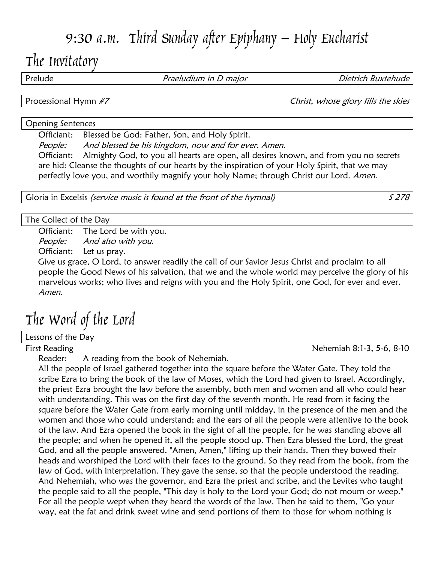# 9:30 a.m. Third Sunday after Epiphany – Holy Eucharist

# The Invitatory

Prelude **Praeludium in D major** Prelude **Dietrich Buxtehude** 

Processional Hymn #7  $\blacksquare$   $\blacksquare$ 

## Opening Sentences

Officiant: Blessed be God: Father, Son, and Holy Spirit.

People: And blessed be his kingdom, now and for ever. Amen.

Officiant: Almighty God, to you all hearts are open, all desires known, and from you no secrets are hid: Cleanse the thoughts of our hearts by the inspiration of your Holy Spirit, that we may perfectly love you, and worthily magnify your holy Name; through Christ our Lord. Amen.

| Gloria in Excelsis (service music is found at the front of the hymnal) | S278 |
|------------------------------------------------------------------------|------|
|------------------------------------------------------------------------|------|

## The Collect of the Day

Officiant: The Lord be with you.

People: And also with you.

Officiant: Let us pray.

Give us grace, O Lord, to answer readily the call of our Savior Jesus Christ and proclaim to all people the Good News of his salvation, that we and the whole world may perceive the glory of his marvelous works; who lives and reigns with you and the Holy Spirit, one God, for ever and ever. Amen.

# The Word of the Lord

Lessons of the Day

# First Reading **Nehemiah 8:1-3, 5-6, 8-10**

Reader: A reading from the book of Nehemiah.

All the people of Israel gathered together into the square before the Water Gate. They told the scribe Ezra to bring the book of the law of Moses, which the Lord had given to Israel. Accordingly, the priest Ezra brought the law before the assembly, both men and women and all who could hear with understanding. This was on the first day of the seventh month. He read from it facing the square before the Water Gate from early morning until midday, in the presence of the men and the women and those who could understand; and the ears of all the people were attentive to the book of the law. And Ezra opened the book in the sight of all the people, for he was standing above all the people; and when he opened it, all the people stood up. Then Ezra blessed the Lord, the great God, and all the people answered, "Amen, Amen," lifting up their hands. Then they bowed their heads and worshiped the Lord with their faces to the ground. So they read from the book, from the law of God, with interpretation. They gave the sense, so that the people understood the reading. And Nehemiah, who was the governor, and Ezra the priest and scribe, and the Levites who taught the people said to all the people, "This day is holy to the Lord your God; do not mourn or weep." For all the people wept when they heard the words of the law. Then he said to them, "Go your way, eat the fat and drink sweet wine and send portions of them to those for whom nothing is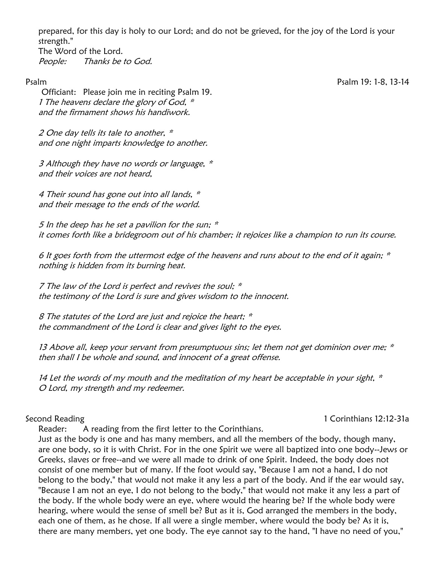prepared, for this day is holy to our Lord; and do not be grieved, for the joy of the Lord is your strength."

The Word of the Lord. People: Thanks be to God.

Psalm Psalm 19: 1-8, 13-14

Officiant: Please join me in reciting Psalm 19. 1 The heavens declare the glory of God, \* and the firmament shows his handiwork.

2 One day tells its tale to another,  $*$ and one night imparts knowledge to another.

3 Although they have no words or language, \* and their voices are not heard,

4 Their sound has gone out into all lands, \* and their message to the ends of the world.

5 In the deep has he set a pavilion for the sun; \* it comes forth like a bridegroom out of his chamber; it rejoices like a champion to run its course.

6 It goes forth from the uttermost edge of the heavens and runs about to the end of it again; \* nothing is hidden from its burning heat.

7 The law of the Lord is perfect and revives the soul; \* the testimony of the Lord is sure and gives wisdom to the innocent.

8 The statutes of the Lord are just and rejoice the heart; \* the commandment of the Lord is clear and gives light to the eyes.

13 Above all, keep your servant from presumptuous sins; let them not get dominion over me; \* then shall I be whole and sound, and innocent of a great offense.

14 Let the words of my mouth and the meditation of my heart be acceptable in your sight, \* O Lord, my strength and my redeemer.

Reader: A reading from the first letter to the Corinthians.

Just as the body is one and has many members, and all the members of the body, though many, are one body, so it is with Christ. For in the one Spirit we were all baptized into one body--Jews or Greeks, slaves or free--and we were all made to drink of one Spirit. Indeed, the body does not consist of one member but of many. If the foot would say, "Because I am not a hand, I do not belong to the body," that would not make it any less a part of the body. And if the ear would say, "Because I am not an eye, I do not belong to the body," that would not make it any less a part of the body. If the whole body were an eye, where would the hearing be? If the whole body were hearing, where would the sense of smell be? But as it is, God arranged the members in the body, each one of them, as he chose. If all were a single member, where would the body be? As it is, there are many members, yet one body. The eye cannot say to the hand, "I have no need of you,"

Second Reading 12:12-31a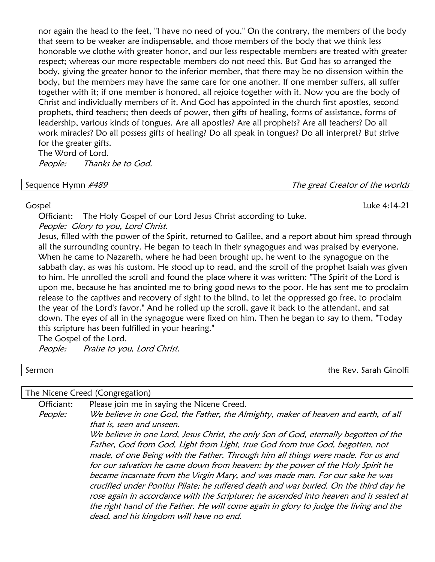nor again the head to the feet, "I have no need of you." On the contrary, the members of the body that seem to be weaker are indispensable, and those members of the body that we think less honorable we clothe with greater honor, and our less respectable members are treated with greater respect; whereas our more respectable members do not need this. But God has so arranged the body, giving the greater honor to the inferior member, that there may be no dissension within the body, but the members may have the same care for one another. If one member suffers, all suffer together with it; if one member is honored, all rejoice together with it. Now you are the body of Christ and individually members of it. And God has appointed in the church first apostles, second prophets, third teachers; then deeds of power, then gifts of healing, forms of assistance, forms of leadership, various kinds of tongues. Are all apostles? Are all prophets? Are all teachers? Do all work miracles? Do all possess gifts of healing? Do all speak in tongues? Do all interpret? But strive for the greater gifts. The Word of Lord.

People: Thanks be to God.

Sequence Hymn #489 Sequence Hymn #489

Officiant: The Holy Gospel of our Lord Jesus Christ according to Luke.

## People: Glory to you, Lord Christ.

Jesus, filled with the power of the Spirit, returned to Galilee, and a report about him spread through all the surrounding country. He began to teach in their synagogues and was praised by everyone. When he came to Nazareth, where he had been brought up, he went to the synagogue on the sabbath day, as was his custom. He stood up to read, and the scroll of the prophet Isaiah was given to him. He unrolled the scroll and found the place where it was written: "The Spirit of the Lord is upon me, because he has anointed me to bring good news to the poor. He has sent me to proclaim release to the captives and recovery of sight to the blind, to let the oppressed go free, to proclaim the year of the Lord's favor." And he rolled up the scroll, gave it back to the attendant, and sat down. The eyes of all in the synagogue were fixed on him. Then he began to say to them, "Today this scripture has been fulfilled in your hearing."

The Gospel of the Lord.

People: Praise to you, Lord Christ.

Sermon the Rev. Sarah Ginolfi

## The Nicene Creed (Congregation)

Officiant: Please join me in saying the Nicene Creed. People: We believe in one God, the Father, the Almighty, maker of heaven and earth, of all that is, seen and unseen. We believe in one Lord, Jesus Christ, the only Son of God, eternally begotten of the Father, God from God, Light from Light, true God from true God, begotten, not made, of one Being with the Father. Through him all things were made. For us and for our salvation he came down from heaven: by the power of the Holy Spirit he became incarnate from the Virgin Mary, and was made man. For our sake he was crucified under Pontius Pilate; he suffered death and was buried. On the third day he rose again in accordance with the Scriptures; he ascended into heaven and is seated at the right hand of the Father. He will come again in glory to judge the living and the dead, and his kingdom will have no end.

Gospel Luke 4:14-21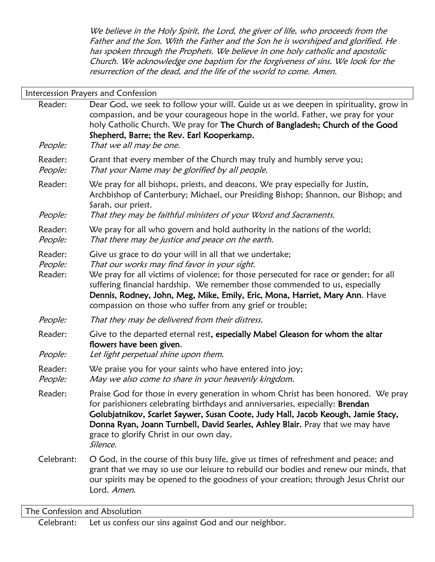We believe in the Holy Spirit, the Lord, the giver of life, who proceeds from the Father and the Son. With the Father and the Son he is worshiped and glorified. He has spoken through the Prophets. We believe in one holy catholic and apostolic Church. We acknowledge one baptism for the forgiveness of sins. We look for the resurrection of the dead, and the life of the world to come. Amen.

| Intercession Prayers and Confession |                                                                                                                                                                                                                                                                                                                                                                                                                             |  |
|-------------------------------------|-----------------------------------------------------------------------------------------------------------------------------------------------------------------------------------------------------------------------------------------------------------------------------------------------------------------------------------------------------------------------------------------------------------------------------|--|
| Reader:                             | Dear God, we seek to follow your will. Guide us as we deepen in spirituality, grow in<br>compassion, and be your courageous hope in the world. Father, we pray for your<br>holy Catholic Church. We pray for The Church of Bangladesh; Church of the Good<br>Shepherd, Barre; the Rev. Earl Kooperkamp.                                                                                                                     |  |
| People:                             | That we all may be one.                                                                                                                                                                                                                                                                                                                                                                                                     |  |
| Reader:<br>People:                  | Grant that every member of the Church may truly and humbly serve you;<br>That your Name may be glorified by all people.                                                                                                                                                                                                                                                                                                     |  |
| Reader:                             | We pray for all bishops, priests, and deacons. We pray especially for Justin,<br>Archbishop of Canterbury; Michael, our Presiding Bishop; Shannon, our Bishop; and<br>Sarah, our priest.                                                                                                                                                                                                                                    |  |
| People:                             | That they may be faithful ministers of your Word and Sacraments.                                                                                                                                                                                                                                                                                                                                                            |  |
| Reader:<br>People:                  | We pray for all who govern and hold authority in the nations of the world;<br>That there may be justice and peace on the earth.                                                                                                                                                                                                                                                                                             |  |
| Reader:<br>People:<br>Reader:       | Give us grace to do your will in all that we undertake;<br>That our works may find favor in your sight.<br>We pray for all victims of violence; for those persecuted for race or gender; for all<br>suffering financial hardship. We remember those commended to us, especially<br>Dennis, Rodney, John, Meg, Mike, Emily, Eric, Mona, Harriet, Mary Ann. Have<br>compassion on those who suffer from any grief or trouble; |  |
| People:                             | That they may be delivered from their distress.                                                                                                                                                                                                                                                                                                                                                                             |  |
| Reader:<br>People:                  | Give to the departed eternal rest, especially Mabel Gleason for whom the altar<br>flowers have been given.<br>Let light perpetual shine upon them.                                                                                                                                                                                                                                                                          |  |
| Reader:<br>People:                  | We praise you for your saints who have entered into joy;<br>May we also come to share in your heavenly kingdom.                                                                                                                                                                                                                                                                                                             |  |
| Reader:                             | Praise God for those in every generation in whom Christ has been honored. We pray<br>for parishioners celebrating birthdays and anniversaries, especially: Brendan<br>Golubjatnikov, Scarlet Saywer, Susan Coote, Judy Hall, Jacob Keough, Jamie Stacy,<br>Donna Ryan, Joann Turnbell, David Searles, Ashley Blair. Pray that we may have<br>grace to glorify Christ in our own day.<br>Silence.                            |  |
| Celebrant:                          | O God, in the course of this busy life, give us times of refreshment and peace; and<br>grant that we may so use our leisure to rebuild our bodies and renew our minds, that<br>our spirits may be opened to the goodness of your creation; through Jesus Christ our<br>Lord. Amen.                                                                                                                                          |  |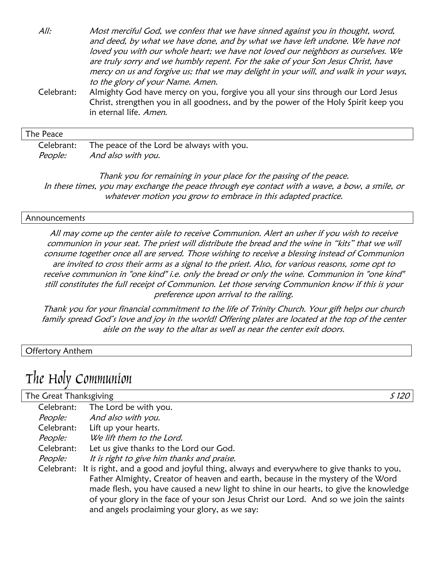| All:       | Most merciful God, we confess that we have sinned against you in thought, word,<br>and deed, by what we have done, and by what we have left undone. We have not                                    |
|------------|----------------------------------------------------------------------------------------------------------------------------------------------------------------------------------------------------|
|            | loved you with our whole heart; we have not loved our neighbors as ourselves. We                                                                                                                   |
|            | are truly sorry and we humbly repent. For the sake of your Son Jesus Christ, have                                                                                                                  |
|            | mercy on us and forgive us; that we may delight in your will, and walk in your ways,                                                                                                               |
|            | to the glory of your Name. Amen.                                                                                                                                                                   |
| Celebrant: | Almighty God have mercy on you, forgive you all your sins through our Lord Jesus<br>Christ, strengthen you in all goodness, and by the power of the Holy Spirit keep you<br>in eternal life. Amen. |
|            |                                                                                                                                                                                                    |

### The Peace

Celebrant: The peace of the Lord be always with you. People: And also with you.

Thank you for remaining in your place for the passing of the peace. In these times, you may exchange the peace through eye contact with a wave, a bow, a smile, or whatever motion you grow to embrace in this adapted practice.

### **Announcements**

All may come up the center aisle to receive Communion. Alert an usher if you wish to receive communion in your seat. The priest will distribute the bread and the wine in "kits" that we will consume together once all are served. Those wishing to receive a blessing instead of Communion are invited to cross their arms as a signal to the priest. Also, for various reasons, some opt to receive communion in "one kind" i.e. only the bread or only the wine. Communion in "one kind" still constitutes the full receipt of Communion. Let those serving Communion know if this is your preference upon arrival to the railing.

Thank you for your financial commitment to the life of Trinity Church. Your gift helps our church family spread God's love and joy in the world! Offering plates are located at the top of the center aisle on the way to the altar as well as near the center exit doors.

# Offertory Anthem

# The Holy Communion

| The Great Thanksgiving |                                                                                                                                                                                                                                                                                                                      | S 120 |
|------------------------|----------------------------------------------------------------------------------------------------------------------------------------------------------------------------------------------------------------------------------------------------------------------------------------------------------------------|-------|
| Celebrant:             | The Lord be with you.                                                                                                                                                                                                                                                                                                |       |
| People:                | And also with you.                                                                                                                                                                                                                                                                                                   |       |
| Celebrant:             | Lift up your hearts.                                                                                                                                                                                                                                                                                                 |       |
| People:                | We lift them to the Lord.                                                                                                                                                                                                                                                                                            |       |
| Celebrant:             | Let us give thanks to the Lord our God.                                                                                                                                                                                                                                                                              |       |
| People:                | It is right to give him thanks and praise.                                                                                                                                                                                                                                                                           |       |
|                        | Celebrant: It is right, and a good and joyful thing, always and everywhere to give thanks to you,                                                                                                                                                                                                                    |       |
|                        | Father Almighty, Creator of heaven and earth, because in the mystery of the Word<br>made flesh, you have caused a new light to shine in our hearts, to give the knowledge<br>of your glory in the face of your son Jesus Christ our Lord. And so we join the saints<br>and angels proclaiming your glory, as we say: |       |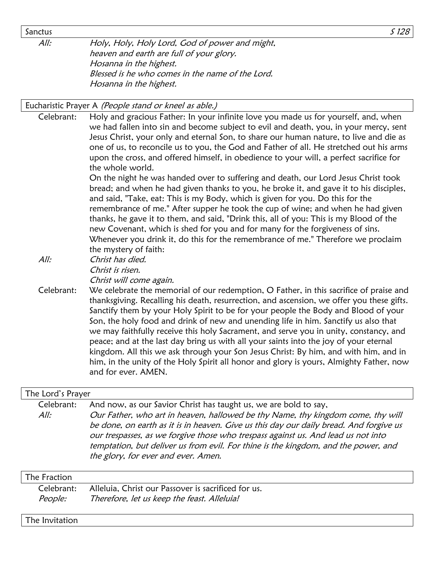All: Holy, Holy, Holy Lord, God of power and might, heaven and earth are full of your glory. Hosanna in the highest. Blessed is he who comes in the name of the Lord. Hosanna in the highest.

Eucharistic Prayer A (People stand or kneel as able.)

Celebrant: Holy and gracious Father: In your infinite love you made us for yourself, and, when we had fallen into sin and become subject to evil and death, you, in your mercy, sent Jesus Christ, your only and eternal Son, to share our human nature, to live and die as one of us, to reconcile us to you, the God and Father of all. He stretched out his arms upon the cross, and offered himself, in obedience to your will, a perfect sacrifice for the whole world.

> On the night he was handed over to suffering and death, our Lord Jesus Christ took bread; and when he had given thanks to you, he broke it, and gave it to his disciples, and said, "Take, eat: This is my Body, which is given for you. Do this for the remembrance of me." After supper he took the cup of wine; and when he had given thanks, he gave it to them, and said, "Drink this, all of you: This is my Blood of the new Covenant, which is shed for you and for many for the forgiveness of sins. Whenever you drink it, do this for the remembrance of me." Therefore we proclaim the mystery of faith:

- All: Christ has died. Christ is risen.
	- Christ will come again.
- Celebrant: We celebrate the memorial of our redemption, O Father, in this sacrifice of praise and thanksgiving. Recalling his death, resurrection, and ascension, we offer you these gifts. Sanctify them by your Holy Spirit to be for your people the Body and Blood of your Son, the holy food and drink of new and unending life in him. Sanctify us also that we may faithfully receive this holy Sacrament, and serve you in unity, constancy, and peace; and at the last day bring us with all your saints into the joy of your eternal kingdom. All this we ask through your Son Jesus Christ: By him, and with him, and in him, in the unity of the Holy Spirit all honor and glory is yours, Almighty Father, now and for ever. AMEN.

## The Lord's Prayer

Celebrant: And now, as our Savior Christ has taught us, we are bold to say, All: Our Father, who art in heaven, hallowed be thy Name, thy kingdom come, thy will be done, on earth as it is in heaven. Give us this day our daily bread. And forgive us our trespasses, as we forgive those who trespass against us. And lead us not into temptation, but deliver us from evil. For thine is the kingdom, and the power, and the glory, for ever and ever. Amen.

### The Fraction

|                | Celebrant: Alleluia, Christ our Passover is sacrificed for us. |
|----------------|----------------------------------------------------------------|
| <i>People:</i> | Therefore, let us keep the feast. Alleluia!                    |

### The Invitation